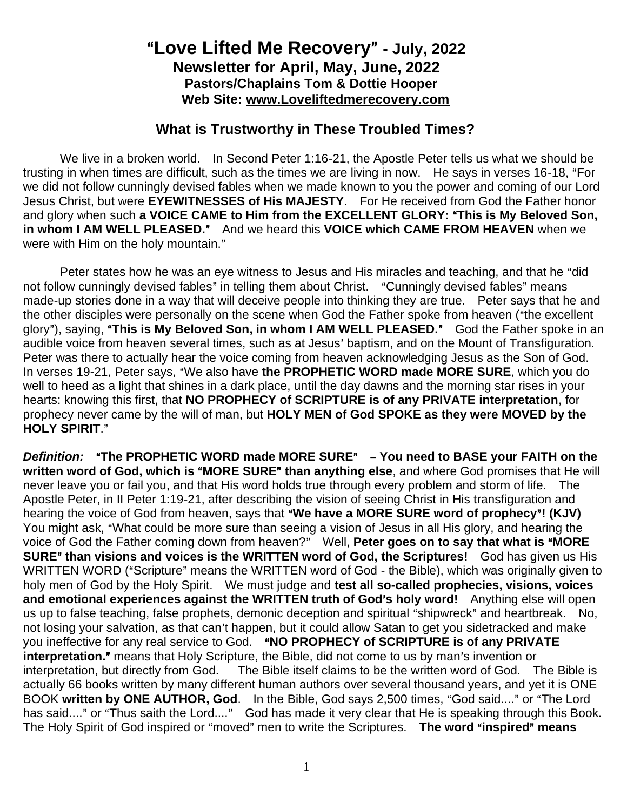## A**Love Lifted Me Recovery**@ **- July, 2022 Newsletter for April, May, June, 2022 Pastors/Chaplains Tom & Dottie Hooper Web Site: www.Loveliftedmerecovery.com**

## **What is Trustworthy in These Troubled Times?**

We live in a broken world. In Second Peter 1:16-21, the Apostle Peter tells us what we should be trusting in when times are difficult, such as the times we are living in now. He says in verses 16-18, "For we did not follow cunningly devised fables when we made known to you the power and coming of our Lord Jesus Christ, but were **EYEWITNESSES of His MAJESTY**. For He received from God the Father honor and glory when such a VOICE CAME to Him from the EXCELLENT GLORY: "This is My Beloved Son, **in whom I AM WELL PLEASED.**" And we heard this **VOICE which CAME FROM HEAVEN** when we were with Him on the holy mountain."

Peter states how he was an eye witness to Jesus and His miracles and teaching, and that he "did not follow cunningly devised fables" in telling them about Christ. "Cunningly devised fables" means made-up stories done in a way that will deceive people into thinking they are true. Peter says that he and the other disciples were personally on the scene when God the Father spoke from heaven ("the excellent glory"), saying, "This is My Beloved Son, in whom I AM WELL PLEASED." God the Father spoke in an audible voice from heaven several times, such as at Jesus' baptism, and on the Mount of Transfiguration. Peter was there to actually hear the voice coming from heaven acknowledging Jesus as the Son of God. In verses 19-21, Peter says, AWe also have **the PROPHETIC WORD made MORE SURE**, which you do well to heed as a light that shines in a dark place, until the day dawns and the morning star rises in your hearts: knowing this first, that **NO PROPHECY of SCRIPTURE is of any PRIVATE interpretation**, for prophecy never came by the will of man, but **HOLY MEN of God SPOKE as they were MOVED by the HOLY SPIRIT."** 

**Definition:** "The PROPHETIC WORD made MORE SURE" - You need to BASE your FAITH on the **written word of God, which is "MORE SURE" than anything else, and where God promises that He will** never leave you or fail you, and that His word holds true through every problem and storm of life. The Apostle Peter, in II Peter 1:19-21, after describing the vision of seeing Christ in His transfiguration and hearing the voice of God from heaven, says that "We have a MORE SURE word of prophecy"! (KJV) You might ask, "What could be more sure than seeing a vision of Jesus in all His glory, and hearing the voice of God the Father coming down from heaven?" Well, Peter goes on to say that what is "MORE **SURE**" than visions and voices is the WRITTEN word of God, the Scriptures! God has given us His WRITTEN WORD ("Scripture" means the WRITTEN word of God - the Bible), which was originally given to holy men of God by the Holy Spirit. We must judge and **test all so-called prophecies, visions, voices and emotional experiences against the WRITTEN truth of God's holy word! Anything else will open** us up to false teaching, false prophets, demonic deception and spiritual "shipwreck" and heartbreak. No, not losing your salvation, as that can't happen, but it could allow Satan to get you sidetracked and make you ineffective for any real service to God. "NO PROPHECY of SCRIPTURE is of any PRIVATE **interpretation.**" means that Holy Scripture, the Bible, did not come to us by man's invention or interpretation, but directly from God. The Bible itself claims to be the written word of God. The Bible is actually 66 books written by many different human authors over several thousand years, and yet it is ONE BOOK written by ONE AUTHOR, God. In the Bible, God says 2,500 times, "God said...." or "The Lord has said...." or "Thus saith the Lord...." God has made it very clear that He is speaking through this Book. The Holy Spirit of God inspired or "moved" men to write the Scriptures. The word "inspired" means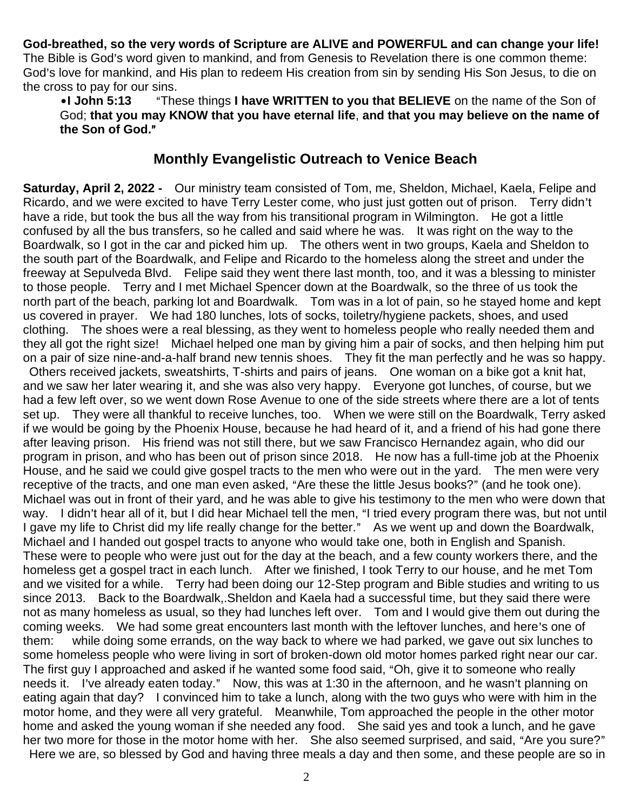**God-breathed, so the very words of Scripture are ALIVE and POWERFUL and can change your life!** The Bible is God's word given to mankind, and from Genesis to Revelation there is one common theme: God's love for mankind, and His plan to redeem His creation from sin by sending His Son Jesus, to die on the cross to pay for our sins.

•I John 5:13 These things I have WRITTEN to you that BELIEVE on the name of the Son of God; **that you may KNOW that you have eternal life**, **and that you may believe on the name of**  the Son of God."

## **Monthly Evangelistic Outreach to Venice Beach**

**Saturday, April 2, 2022 -** Our ministry team consisted of Tom, me, Sheldon, Michael, Kaela, Felipe and Ricardo, and we were excited to have Terry Lester come, who just just gotten out of prison. Terry didn't have a ride, but took the bus all the way from his transitional program in Wilmington. He got a little confused by all the bus transfers, so he called and said where he was. It was right on the way to the Boardwalk, so I got in the car and picked him up. The others went in two groups, Kaela and Sheldon to the south part of the Boardwalk, and Felipe and Ricardo to the homeless along the street and under the freeway at Sepulveda Blvd. Felipe said they went there last month, too, and it was a blessing to minister to those people. Terry and I met Michael Spencer down at the Boardwalk, so the three of us took the north part of the beach, parking lot and Boardwalk. Tom was in a lot of pain, so he stayed home and kept us covered in prayer. We had 180 lunches, lots of socks, toiletry/hygiene packets, shoes, and used clothing. The shoes were a real blessing, as they went to homeless people who really needed them and they all got the right size! Michael helped one man by giving him a pair of socks, and then helping him put on a pair of size nine-and-a-half brand new tennis shoes. They fit the man perfectly and he was so happy.

Others received jackets, sweatshirts, T-shirts and pairs of jeans. One woman on a bike got a knit hat, and we saw her later wearing it, and she was also very happy. Everyone got lunches, of course, but we had a few left over, so we went down Rose Avenue to one of the side streets where there are a lot of tents set up. They were all thankful to receive lunches, too. When we were still on the Boardwalk, Terry asked if we would be going by the Phoenix House, because he had heard of it, and a friend of his had gone there after leaving prison. His friend was not still there, but we saw Francisco Hernandez again, who did our program in prison, and who has been out of prison since 2018. He now has a full-time job at the Phoenix House, and he said we could give gospel tracts to the men who were out in the yard. The men were very receptive of the tracts, and one man even asked, "Are these the little Jesus books?" (and he took one). Michael was out in front of their yard, and he was able to give his testimony to the men who were down that way. I didn't hear all of it, but I did hear Michael tell the men, "I tried every program there was, but not until I gave my life to Christ did my life really change for the better." As we went up and down the Boardwalk, Michael and I handed out gospel tracts to anyone who would take one, both in English and Spanish. These were to people who were just out for the day at the beach, and a few county workers there, and the homeless get a gospel tract in each lunch. After we finished, I took Terry to our house, and he met Tom and we visited for a while. Terry had been doing our 12-Step program and Bible studies and writing to us since 2013. Back to the Boardwalk,.Sheldon and Kaela had a successful time, but they said there were not as many homeless as usual, so they had lunches left over. Tom and I would give them out during the coming weeks. We had some great encounters last month with the leftover lunches, and here's one of them: while doing some errands, on the way back to where we had parked, we gave out six lunches to some homeless people who were living in sort of broken-down old motor homes parked right near our car. The first guy I approached and asked if he wanted some food said, "Oh, give it to someone who really needs it. I've already eaten today." Now, this was at 1:30 in the afternoon, and he wasn't planning on eating again that day? I convinced him to take a lunch, along with the two guys who were with him in the motor home, and they were all very grateful. Meanwhile, Tom approached the people in the other motor home and asked the young woman if she needed any food. She said yes and took a lunch, and he gave her two more for those in the motor home with her. She also seemed surprised, and said, "Are you sure?" Here we are, so blessed by God and having three meals a day and then some, and these people are so in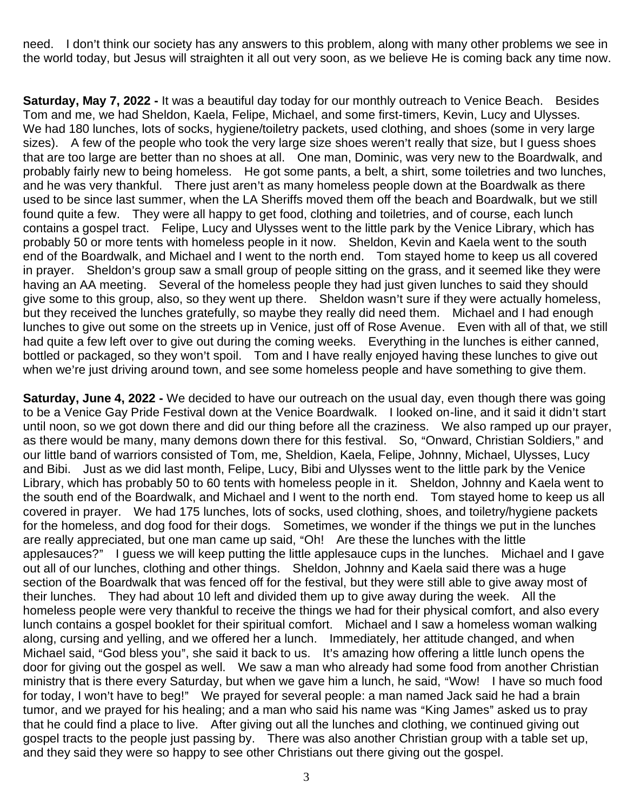need. I don't think our society has any answers to this problem, along with many other problems we see in the world today, but Jesus will straighten it all out very soon, as we believe He is coming back any time now.

**Saturday, May 7, 2022 -** It was a beautiful day today for our monthly outreach to Venice Beach. Besides Tom and me, we had Sheldon, Kaela, Felipe, Michael, and some first-timers, Kevin, Lucy and Ulysses. We had 180 lunches, lots of socks, hygiene/toiletry packets, used clothing, and shoes (some in very large sizes). A few of the people who took the very large size shoes weren't really that size, but I guess shoes that are too large are better than no shoes at all. One man, Dominic, was very new to the Boardwalk, and probably fairly new to being homeless. He got some pants, a belt, a shirt, some toiletries and two lunches, and he was very thankful. There just aren't as many homeless people down at the Boardwalk as there used to be since last summer, when the LA Sheriffs moved them off the beach and Boardwalk, but we still found quite a few. They were all happy to get food, clothing and toiletries, and of course, each lunch contains a gospel tract. Felipe, Lucy and Ulysses went to the little park by the Venice Library, which has probably 50 or more tents with homeless people in it now. Sheldon, Kevin and Kaela went to the south end of the Boardwalk, and Michael and I went to the north end. Tom stayed home to keep us all covered in prayer. Sheldon's group saw a small group of people sitting on the grass, and it seemed like they were having an AA meeting. Several of the homeless people they had just given lunches to said they should give some to this group, also, so they went up there. Sheldon wasn't sure if they were actually homeless, but they received the lunches gratefully, so maybe they really did need them. Michael and I had enough lunches to give out some on the streets up in Venice, just off of Rose Avenue. Even with all of that, we still had quite a few left over to give out during the coming weeks. Everything in the lunches is either canned, bottled or packaged, so they won't spoil. Tom and I have really enjoyed having these lunches to give out when we're just driving around town, and see some homeless people and have something to give them.

**Saturday, June 4, 2022 -** We decided to have our outreach on the usual day, even though there was going to be a Venice Gay Pride Festival down at the Venice Boardwalk. I looked on-line, and it said it didn't start until noon, so we got down there and did our thing before all the craziness. We also ramped up our prayer, as there would be many, many demons down there for this festival. So, "Onward, Christian Soldiers," and our little band of warriors consisted of Tom, me, Sheldion, Kaela, Felipe, Johnny, Michael, Ulysses, Lucy and Bibi. Just as we did last month, Felipe, Lucy, Bibi and Ulysses went to the little park by the Venice Library, which has probably 50 to 60 tents with homeless people in it. Sheldon, Johnny and Kaela went to the south end of the Boardwalk, and Michael and I went to the north end. Tom stayed home to keep us all covered in prayer. We had 175 lunches, lots of socks, used clothing, shoes, and toiletry/hygiene packets for the homeless, and dog food for their dogs. Sometimes, we wonder if the things we put in the lunches are really appreciated, but one man came up said, "Oh! Are these the lunches with the little applesauces?" I guess we will keep putting the little applesauce cups in the lunches. Michael and I gave out all of our lunches, clothing and other things. Sheldon, Johnny and Kaela said there was a huge section of the Boardwalk that was fenced off for the festival, but they were still able to give away most of their lunches. They had about 10 left and divided them up to give away during the week. All the homeless people were very thankful to receive the things we had for their physical comfort, and also every lunch contains a gospel booklet for their spiritual comfort. Michael and I saw a homeless woman walking along, cursing and yelling, and we offered her a lunch. Immediately, her attitude changed, and when Michael said, "God bless you", she said it back to us. It's amazing how offering a little lunch opens the door for giving out the gospel as well. We saw a man who already had some food from another Christian ministry that is there every Saturday, but when we gave him a lunch, he said, "Wow! I have so much food for today, I won't have to beg!" We prayed for several people: a man named Jack said he had a brain tumor, and we prayed for his healing; and a man who said his name was "King James" asked us to pray that he could find a place to live. After giving out all the lunches and clothing, we continued giving out gospel tracts to the people just passing by. There was also another Christian group with a table set up, and they said they were so happy to see other Christians out there giving out the gospel.